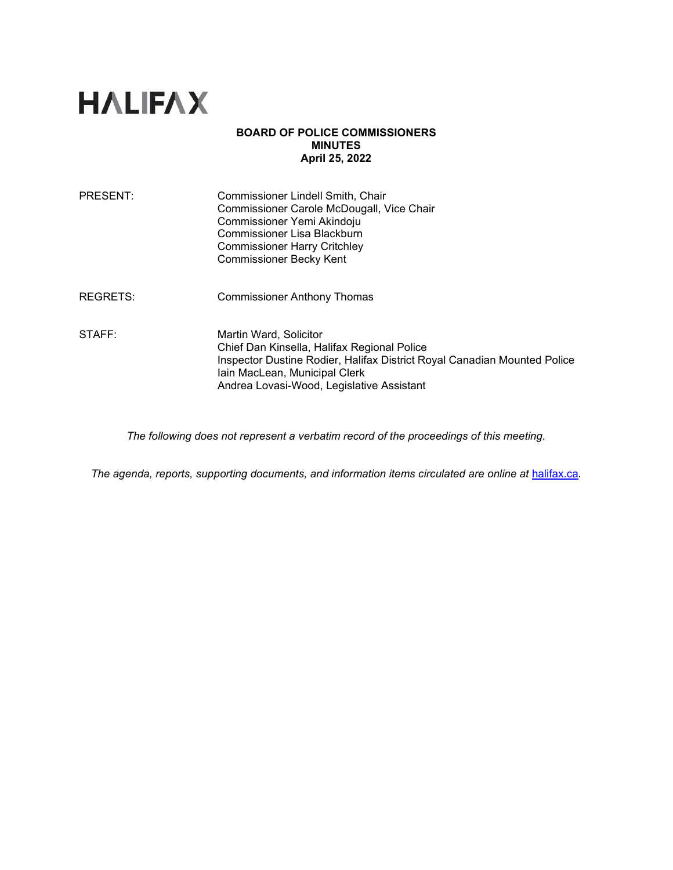# **HALIFAX**

#### **BOARD OF POLICE COMMISSIONERS MINUTES April 25, 2022**

| PRESENT:        | Commissioner Lindell Smith, Chair<br>Commissioner Carole McDougall, Vice Chair<br>Commissioner Yemi Akindoju<br>Commissioner Lisa Blackburn<br><b>Commissioner Harry Critchley</b><br><b>Commissioner Becky Kent</b>            |
|-----------------|---------------------------------------------------------------------------------------------------------------------------------------------------------------------------------------------------------------------------------|
| <b>REGRETS:</b> | <b>Commissioner Anthony Thomas</b>                                                                                                                                                                                              |
| STAFF:          | Martin Ward, Solicitor<br>Chief Dan Kinsella, Halifax Regional Police<br>Inspector Dustine Rodier, Halifax District Royal Canadian Mounted Police<br>Iain MacLean, Municipal Clerk<br>Andrea Lovasi-Wood, Legislative Assistant |

*The following does not represent a verbatim record of the proceedings of this meeting.*

*The agenda, reports, supporting documents, and information items circulated are online at [halifax.ca](http://www.halifax.ca/).*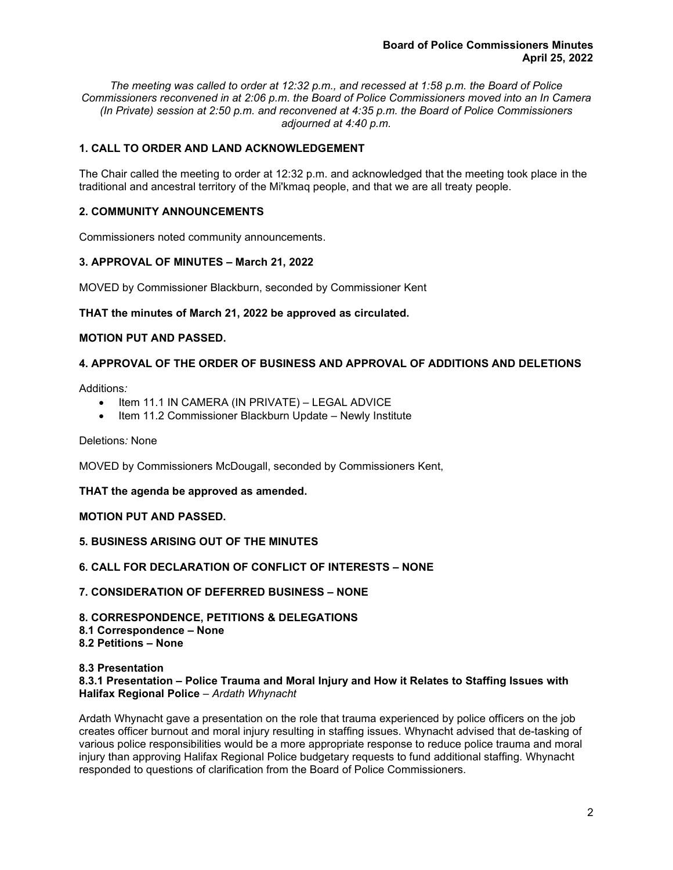*The meeting was called to order at 12:32 p.m., and recessed at 1:58 p.m. the Board of Police Commissioners reconvened in at 2:06 p.m. the Board of Police Commissioners moved into an In Camera (In Private) session at 2:50 p.m. and reconvened at 4:35 p.m. the Board of Police Commissioners adjourned at 4:40 p.m.*

# **1. CALL TO ORDER AND LAND ACKNOWLEDGEMENT**

The Chair called the meeting to order at 12:32 p.m. and acknowledged that the meeting took place in the traditional and ancestral territory of the Mi'kmaq people, and that we are all treaty people.

# **2. COMMUNITY ANNOUNCEMENTS**

Commissioners noted community announcements.

#### **3. APPROVAL OF MINUTES – March 21, 2022**

MOVED by Commissioner Blackburn, seconded by Commissioner Kent

#### **THAT the minutes of March 21, 2022 be approved as circulated.**

#### **MOTION PUT AND PASSED.**

# **4. APPROVAL OF THE ORDER OF BUSINESS AND APPROVAL OF ADDITIONS AND DELETIONS**

Additions*:* 

- Item 11.1 IN CAMERA (IN PRIVATE) LEGAL ADVICE
- Item 11.2 Commissioner Blackburn Update Newly Institute

Deletions*:* None

MOVED by Commissioners McDougall, seconded by Commissioners Kent,

#### **THAT the agenda be approved as amended.**

#### **MOTION PUT AND PASSED.**

**5. BUSINESS ARISING OUT OF THE MINUTES** 

#### **6. CALL FOR DECLARATION OF CONFLICT OF INTERESTS – NONE**

**7. CONSIDERATION OF DEFERRED BUSINESS – NONE** 

# **8. CORRESPONDENCE, PETITIONS & DELEGATIONS**

**8.1 Correspondence – None** 

# **8.2 Petitions – None**

#### **8.3 Presentation**

**8.3.1 Presentation – Police Trauma and Moral Injury and How it Relates to Staffing Issues with Halifax Regional Police** – *Ardath Whynacht*

Ardath Whynacht gave a presentation on the role that trauma experienced by police officers on the job creates officer burnout and moral injury resulting in staffing issues. Whynacht advised that de-tasking of various police responsibilities would be a more appropriate response to reduce police trauma and moral injury than approving Halifax Regional Police budgetary requests to fund additional staffing. Whynacht responded to questions of clarification from the Board of Police Commissioners.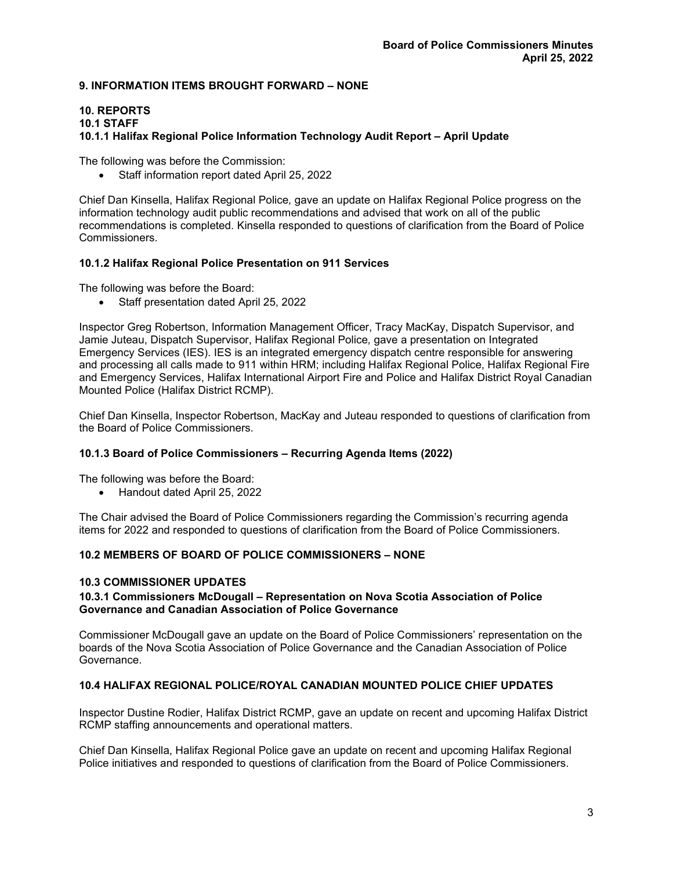# **9. INFORMATION ITEMS BROUGHT FORWARD – NONE**

#### **10. REPORTS 10.1 STAFF 10.1.1 Halifax Regional Police Information Technology Audit Report – April Update**

The following was before the Commission:

• Staff information report dated April 25, 2022

Chief Dan Kinsella, Halifax Regional Police*,* gave an update on Halifax Regional Police progress on the information technology audit public recommendations and advised that work on all of the public recommendations is completed. Kinsella responded to questions of clarification from the Board of Police Commissioners*.*

#### **10.1.2 Halifax Regional Police Presentation on 911 Services**

The following was before the Board:

• Staff presentation dated April 25, 2022

Inspector Greg Robertson, Information Management Officer, Tracy MacKay, Dispatch Supervisor, and Jamie Juteau, Dispatch Supervisor, Halifax Regional Police*,* gave a presentation on Integrated Emergency Services (IES). IES is an integrated emergency dispatch centre responsible for answering and processing all calls made to 911 within HRM; including Halifax Regional Police, Halifax Regional Fire and Emergency Services, Halifax International Airport Fire and Police and Halifax District Royal Canadian Mounted Police (Halifax District RCMP).

Chief Dan Kinsella, Inspector Robertson, MacKay and Juteau responded to questions of clarification from the Board of Police Commissioners*.*

# **10.1.3 Board of Police Commissioners – Recurring Agenda Items (2022)**

The following was before the Board:

• Handout dated April 25, 2022

The Chair advised the Board of Police Commissioners regarding the Commission's recurring agenda items for 2022 and responded to questions of clarification from the Board of Police Commissioners*.*

#### **10.2 MEMBERS OF BOARD OF POLICE COMMISSIONERS – NONE**

#### **10.3 COMMISSIONER UPDATES**

#### **10.3.1 Commissioners McDougall – Representation on Nova Scotia Association of Police Governance and Canadian Association of Police Governance**

Commissioner McDougall gave an update on the Board of Police Commissioners' representation on the boards of the Nova Scotia Association of Police Governance and the Canadian Association of Police Governance.

# **10.4 HALIFAX REGIONAL POLICE/ROYAL CANADIAN MOUNTED POLICE CHIEF UPDATES**

Inspector Dustine Rodier, Halifax District RCMP, gave an update on recent and upcoming Halifax District RCMP staffing announcements and operational matters.

Chief Dan Kinsella, Halifax Regional Police gave an update on recent and upcoming Halifax Regional Police initiatives and responded to questions of clarification from the Board of Police Commissioners.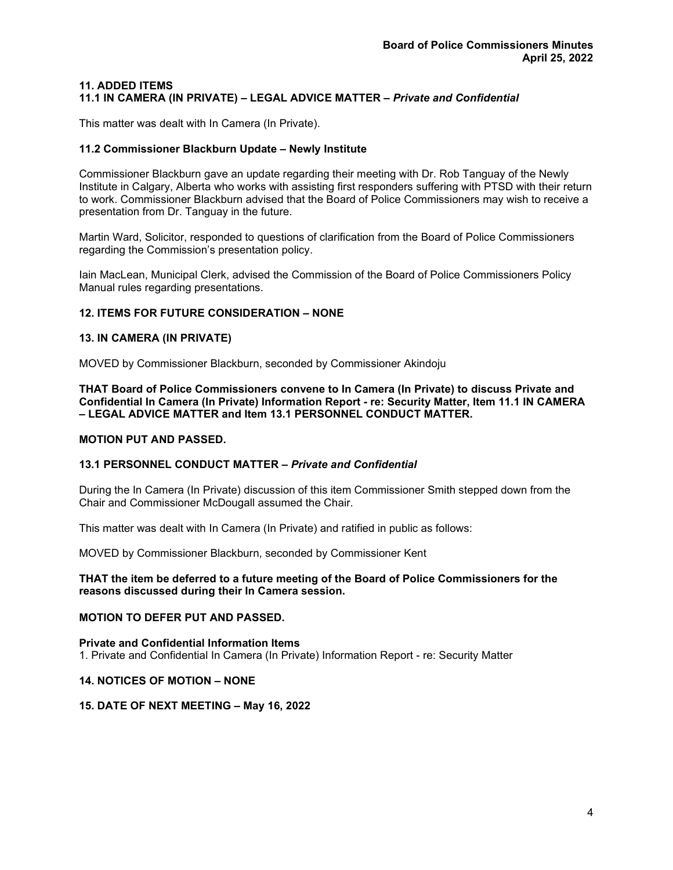#### **11. ADDED ITEMS 11.1 IN CAMERA (IN PRIVATE) – LEGAL ADVICE MATTER –** *Private and Confidential*

This matter was dealt with In Camera (In Private).

#### **11.2 Commissioner Blackburn Update – Newly Institute**

Commissioner Blackburn gave an update regarding their meeting with Dr. Rob Tanguay of the Newly Institute in Calgary, Alberta who works with assisting first responders suffering with PTSD with their return to work. Commissioner Blackburn advised that the Board of Police Commissioners may wish to receive a presentation from Dr. Tanguay in the future.

Martin Ward, Solicitor, responded to questions of clarification from the Board of Police Commissioners regarding the Commission's presentation policy.

Iain MacLean, Municipal Clerk, advised the Commission of the Board of Police Commissioners Policy Manual rules regarding presentations.

#### **12. ITEMS FOR FUTURE CONSIDERATION – NONE**

#### **13. IN CAMERA (IN PRIVATE)**

MOVED by Commissioner Blackburn, seconded by Commissioner Akindoju

**THAT Board of Police Commissioners convene to In Camera (In Private) to discuss Private and Confidential In Camera (In Private) Information Report - re: Security Matter, Item 11.1 IN CAMERA – LEGAL ADVICE MATTER and Item 13.1 PERSONNEL CONDUCT MATTER.** 

#### **MOTION PUT AND PASSED.**

#### **13.1 PERSONNEL CONDUCT MATTER –** *Private and Confidential*

During the In Camera (In Private) discussion of this item Commissioner Smith stepped down from the Chair and Commissioner McDougall assumed the Chair.

This matter was dealt with In Camera (In Private) and ratified in public as follows:

MOVED by Commissioner Blackburn, seconded by Commissioner Kent

#### **THAT the item be deferred to a future meeting of the Board of Police Commissioners for the reasons discussed during their In Camera session.**

#### **MOTION TO DEFER PUT AND PASSED.**

**Private and Confidential Information Items** 1. Private and Confidential In Camera (In Private) Information Report - re: Security Matter

# **14. NOTICES OF MOTION – NONE**

#### **15. DATE OF NEXT MEETING – May 16, 2022**